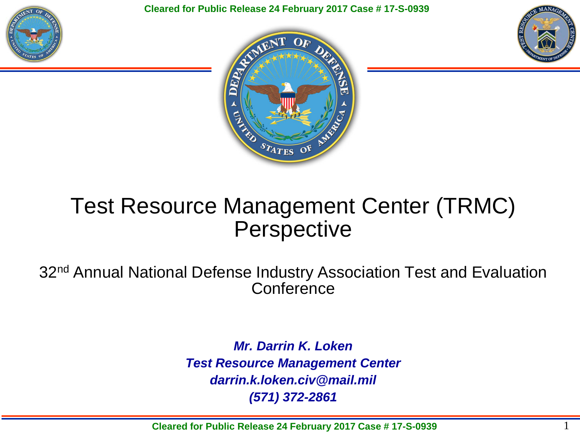

**Cleared for Public Release 24 February 2017 Case # 17-S-0939** 





### Test Resource Management Center (TRMC) **Perspective**

32<sup>nd</sup> Annual National Defense Industry Association Test and Evaluation **Conference** 

> *Mr. Darrin K. Loken Test Resource Management Center darrin.k.loken.civ@mail.mil (571) 372-2861*

**Cleared for Public Release 24 February 2017 Case # 17-S-0939**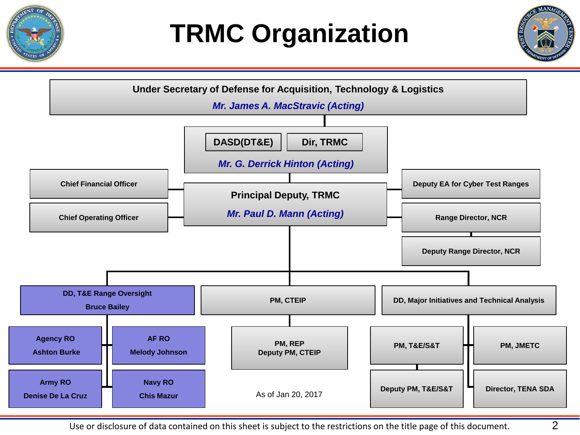

# **TRMC Organization**



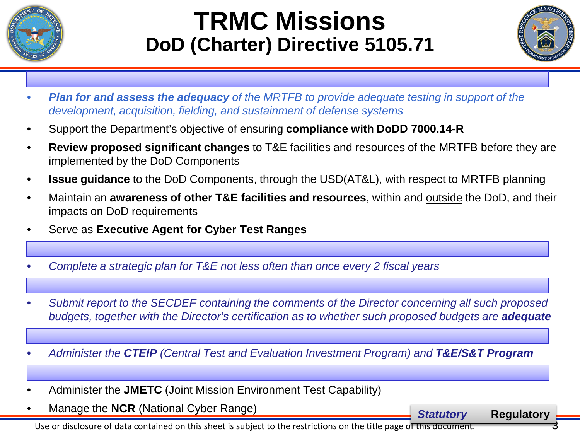

## **TRMC Missions DoD (Charter) Directive 5105.71**



- *Plan for and assess the adequacy of the MRTFB to provide adequate testing in support of the development, acquisition, fielding, and sustainment of defense systems*
- Support the Department's objective of ensuring **compliance with DoDD 7000.14-R**
- **Review proposed significant changes** to T&E facilities and resources of the MRTFB before they are implemented by the DoD Components
- **Issue guidance** to the DoD Components, through the USD(AT&L), with respect to MRTFB planning
- Maintain an **awareness of other T&E facilities and resources**, within and outside the DoD, and their impacts on DoD requirements
- Serve as **Executive Agent for Cyber Test Ranges**
- *Complete a strategic plan for T&E not less often than once every 2 fiscal years*
- *Submit report to the SECDEF containing the comments of the Director concerning all such proposed*  **budgets, together with the Director's certification as to whether such proposed budgets are <b>adequate**
- *Administer the CTEIP (Central Test and Evaluation Investment Program) and T&E/S&T Program*
- Administer the **JMETC** (Joint Mission Environment Test Capability)
- Manage the **NCR** (National Cyber Range) *Statutory* **Regulatory**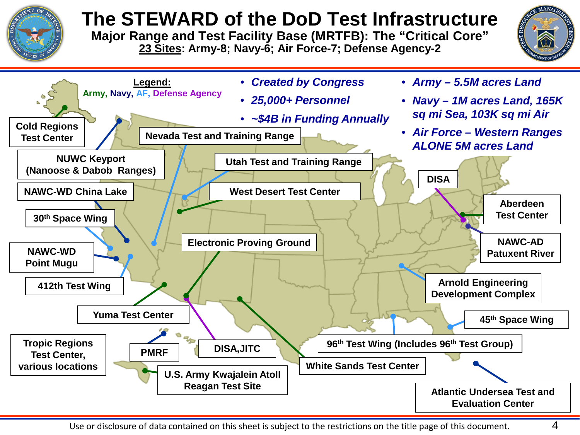

### **The STEWARD of the DoD Test Infrastructure**

**Major Range and Test Facility Base (MRTFB): The "Critical Core" 23 Sites: Army-8; Navy-6; Air Force-7; Defense Agency-2**



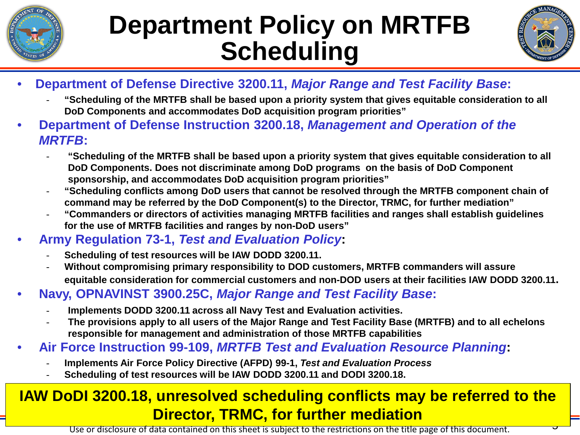

## **Department Policy on MRTFB Scheduling**



- **Department of Defense Directive 3200.11,** *Major Range and Test Facility Base***:**
	- **"Scheduling of the MRTFB shall be based upon a priority system that gives equitable consideration to all DoD Components and accommodates DoD acquisition program priorities"**
- **Department of Defense Instruction 3200.18,** *Management and Operation of the MRTFB***:** 
	- **"Scheduling of the MRTFB shall be based upon a priority system that gives equitable consideration to all DoD Components. Does not discriminate among DoD programs on the basis of DoD Component sponsorship, and accommodates DoD acquisition program priorities"**
	- **"Scheduling conflicts among DoD users that cannot be resolved through the MRTFB component chain of command may be referred by the DoD Component(s) to the Director, TRMC, for further mediation"**
	- **"Commanders or directors of activities managing MRTFB facilities and ranges shall establish guidelines for the use of MRTFB facilities and ranges by non-DoD users"**
- **Army Regulation 73-1,** *Test and Evaluation Policy***:**
	- **Scheduling of test resources will be IAW DODD 3200.11.**
	- **Without compromising primary responsibility to DOD customers, MRTFB commanders will assure equitable consideration for commercial customers and non-DOD users at their facilities IAW DODD 3200.11.**
- **Navy, OPNAVINST 3900.25C,** *Major Range and Test Facility Base***:** 
	- **Implements DODD 3200.11 across all Navy Test and Evaluation activities.**
	- **The provisions apply to all users of the Major Range and Test Facility Base (MRTFB) and to all echelons responsible for management and administration of those MRTFB capabilities**
- **Air Force Instruction 99-109,** *MRTFB Test and Evaluation Resource Planning***:**
	- **Implements Air Force Policy Directive (AFPD) 99-1,** *Test and Evaluation Process*
	- **Scheduling of test resources will be IAW DODD 3200.11 and DODI 3200.18.**

#### <mark>ម</mark> **IAW DoDI 3200.18, unresolved scheduling conflicts may be referred to the Director, TRMC, for further mediation**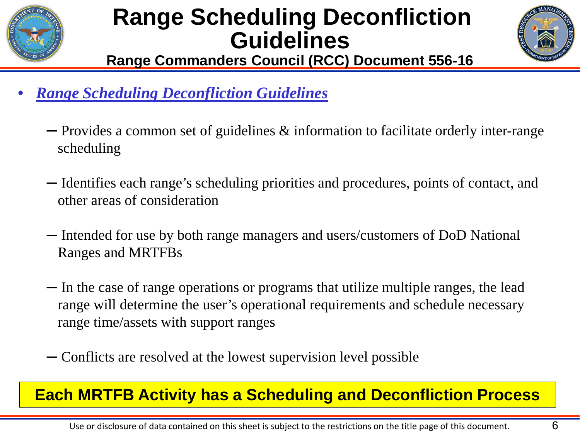

## **Range Scheduling Deconfliction Guidelines**



**Range Commanders Council (RCC) Document 556-16**

- *Range Scheduling Deconfliction Guidelines*
	- ─ Provides a common set of guidelines & information to facilitate orderly inter-range scheduling
	- ─ Identifies each range's scheduling priorities and procedures, points of contact, and other areas of consideration
	- ─ Intended for use by both range managers and users/customers of DoD National Ranges and MRTFBs
	- ─ In the case of range operations or programs that utilize multiple ranges, the lead range will determine the user's operational requirements and schedule necessary range time/assets with support ranges
	- ─ Conflicts are resolved at the lowest supervision level possible

#### **Each MRTFB Activity has a Scheduling and Deconfliction Process**